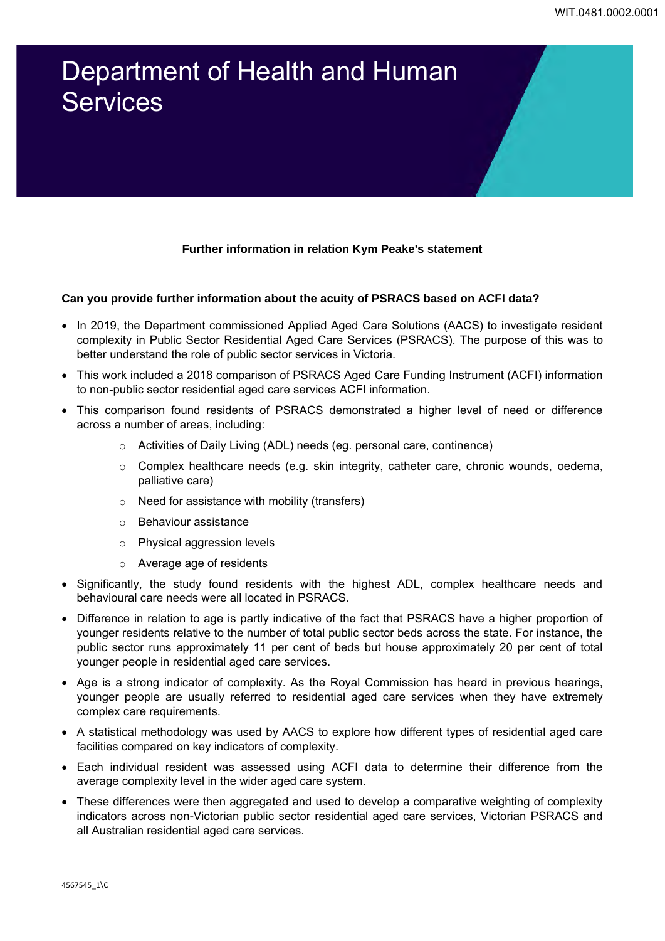# Department of Health and Human **Services**

## **Further information in relation Kym Peake's statement**

#### **Can you provide further information about the acuity of PSRACS based on ACFI data?**

- In 2019, the Department commissioned Applied Aged Care Solutions (AACS) to investigate resident complexity in Public Sector Residential Aged Care Services (PSRACS). The purpose of this was to better understand the role of public sector services in Victoria.
- This work included a 2018 comparison of PSRACS Aged Care Funding Instrument (ACFI) information to non-public sector residential aged care services ACFI information.
- This comparison found residents of PSRACS demonstrated a higher level of need or difference across a number of areas, including:
	- o Activities of Daily Living (ADL) needs (eg. personal care, continence)
	- $\circ$  Complex healthcare needs (e.g. skin integrity, catheter care, chronic wounds, oedema, palliative care)
	- o Need for assistance with mobility (transfers)
	- o Behaviour assistance
	- o Physical aggression levels
	- o Average age of residents
- Significantly, the study found residents with the highest ADL, complex healthcare needs and behavioural care needs were all located in PSRACS.
- Difference in relation to age is partly indicative of the fact that PSRACS have a higher proportion of younger residents relative to the number of total public sector beds across the state. For instance, the public sector runs approximately 11 per cent of beds but house approximately 20 per cent of total younger people in residential aged care services.
- Age is a strong indicator of complexity. As the Royal Commission has heard in previous hearings, younger people are usually referred to residential aged care services when they have extremely complex care requirements.
- A statistical methodology was used by AACS to explore how different types of residential aged care facilities compared on key indicators of complexity.
- Each individual resident was assessed using ACFI data to determine their difference from the average complexity level in the wider aged care system.
- These differences were then aggregated and used to develop a comparative weighting of complexity indicators across non-Victorian public sector residential aged care services, Victorian PSRACS and all Australian residential aged care services.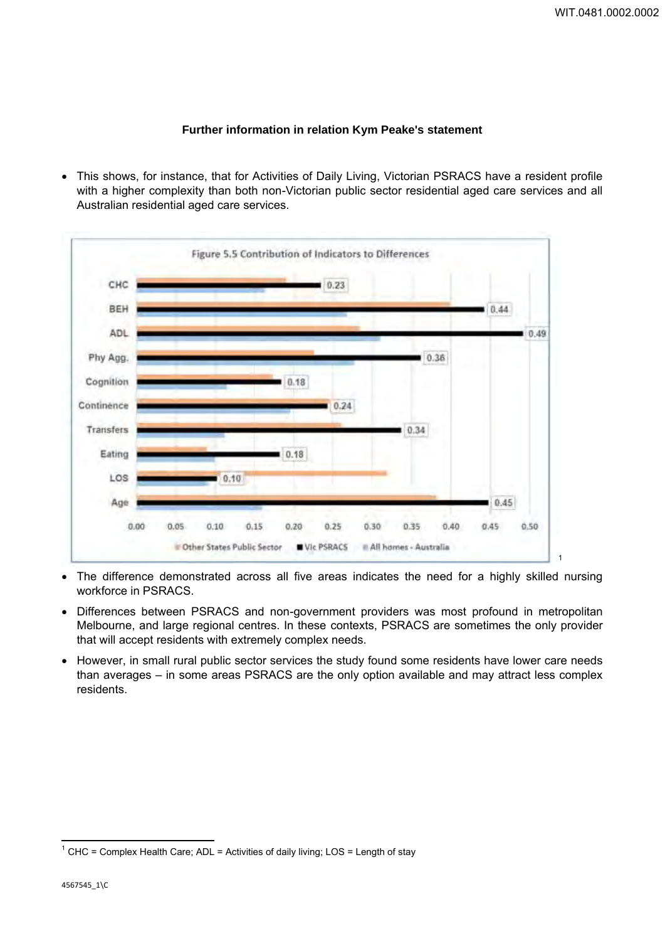## **Further information in relation Kym Peake's statement**

 This shows, for instance, that for Activities of Daily Living, Victorian PSRACS have a resident profile with a higher complexity than both non-Victorian public sector residential aged care services and all Australian residential aged care services.



- The difference demonstrated across all five areas indicates the need for a highly skilled nursing workforce in PSRACS.
- Differences between PSRACS and non-government providers was most profound in metropolitan Melbourne, and large regional centres. In these contexts, PSRACS are sometimes the only provider that will accept residents with extremely complex needs.
- However, in small rural public sector services the study found some residents have lower care needs than averages – in some areas PSRACS are the only option available and may attract less complex residents.

 $\overline{a}$ 

<sup>&</sup>lt;sup>1</sup> CHC = Complex Health Care; ADL = Activities of daily living; LOS = Length of stay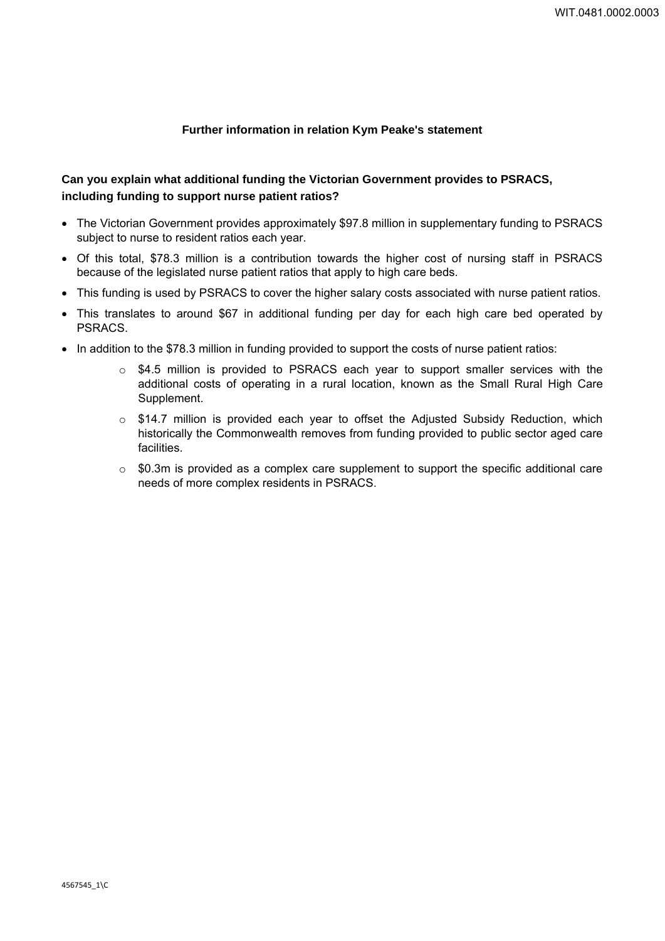## **Further information in relation Kym Peake's statement**

# **Can you explain what additional funding the Victorian Government provides to PSRACS, including funding to support nurse patient ratios?**

- The Victorian Government provides approximately \$97.8 million in supplementary funding to PSRACS subject to nurse to resident ratios each year.
- Of this total, \$78.3 million is a contribution towards the higher cost of nursing staff in PSRACS because of the legislated nurse patient ratios that apply to high care beds.
- This funding is used by PSRACS to cover the higher salary costs associated with nurse patient ratios.
- This translates to around \$67 in additional funding per day for each high care bed operated by PSRACS.
- In addition to the \$78.3 million in funding provided to support the costs of nurse patient ratios:
	- $\circ$  \$4.5 million is provided to PSRACS each year to support smaller services with the additional costs of operating in a rural location, known as the Small Rural High Care Supplement.
	- o \$14.7 million is provided each year to offset the Adjusted Subsidy Reduction, which historically the Commonwealth removes from funding provided to public sector aged care facilities.
	- $\circ$  \$0.3m is provided as a complex care supplement to support the specific additional care needs of more complex residents in PSRACS.